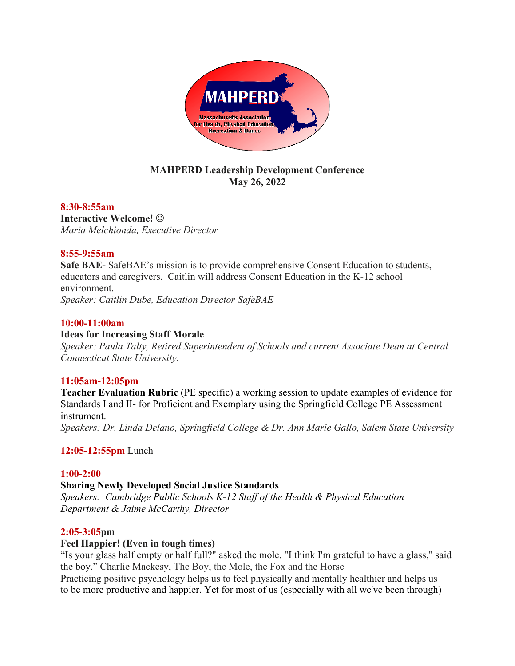

# **MAHPERD Leadership Development Conference May 26, 2022**

### **8:30-8:55am**

**Interactive Welcome!**  $\odot$ *Maria Melchionda, Executive Director*

### **8:55-9:55am**

**Safe BAE-** SafeBAE's mission is to provide comprehensive Consent Education to students, educators and caregivers. Caitlin will address Consent Education in the K-12 school environment. *Speaker: Caitlin Dube, Education Director SafeBAE*

### **10:00-11:00am**

### **Ideas for Increasing Staff Morale**

*Speaker: Paula Talty, Retired Superintendent of Schools and current Associate Dean at Central Connecticut State University.*

# **11:05am-12:05pm**

**Teacher Evaluation Rubric** (PE specific) a working session to update examples of evidence for Standards I and II- for Proficient and Exemplary using the Springfield College PE Assessment instrument. *Speakers: Dr. Linda Delano, Springfield College & Dr. Ann Marie Gallo, Salem State University*

# **12:05-12:55pm** Lunch

### **1:00-2:00**

### **Sharing Newly Developed Social Justice Standards**

*Speakers: Cambridge Public Schools K-12 Staff of the Health & Physical Education Department & Jaime McCarthy, Director*

### **2:05-3:05pm**

### **Feel Happier! (Even in tough times)**

"Is your glass half empty or half full?" asked the mole. "I think I'm grateful to have a glass," said the boy." Charlie Mackesy, The Boy, the Mole, the Fox and the Horse

Practicing positive psychology helps us to feel physically and mentally healthier and helps us to be more productive and happier. Yet for most of us (especially with all we've been through)